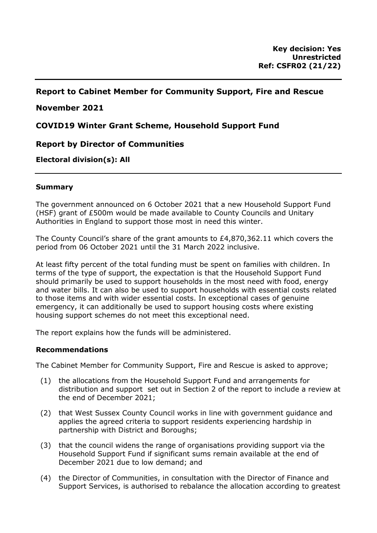# **Report to Cabinet Member for Community Support, Fire and Rescue**

## **November 2021**

**COVID19 Winter Grant Scheme, Household Support Fund**

# **Report by Director of Communities**

## **Electoral division(s): All**

#### **Summary**

The government announced on 6 October 2021 that a new Household Support Fund (HSF) grant of £500m would be made available to County Councils and Unitary Authorities in England to support those most in need this winter.

The County Council's share of the grant amounts to £4,870,362.11 which covers the period from 06 October 2021 until the 31 March 2022 inclusive.

At least fifty percent of the total funding must be spent on families with children. In terms of the type of support, the expectation is that the Household Support Fund should primarily be used to support households in the most need with food, energy and water bills. It can also be used to support households with essential costs related to those items and with wider essential costs. In exceptional cases of genuine emergency, it can additionally be used to support housing costs where existing housing support schemes do not meet this exceptional need.

The report explains how the funds will be administered.

#### **Recommendations**

The Cabinet Member for Community Support, Fire and Rescue is asked to approve;

- (1) the allocations from the Household Support Fund and arrangements for distribution and support set out in Section 2 of the report to include a review at the end of December 2021;
- (2) that West Sussex County Council works in line with government guidance and applies the agreed criteria to support residents experiencing hardship in partnership with District and Boroughs;
- (3) that the council widens the range of organisations providing support via the Household Support Fund if significant sums remain available at the end of December 2021 due to low demand; and
- (4) the Director of Communities, in consultation with the Director of Finance and Support Services, is authorised to rebalance the allocation according to greatest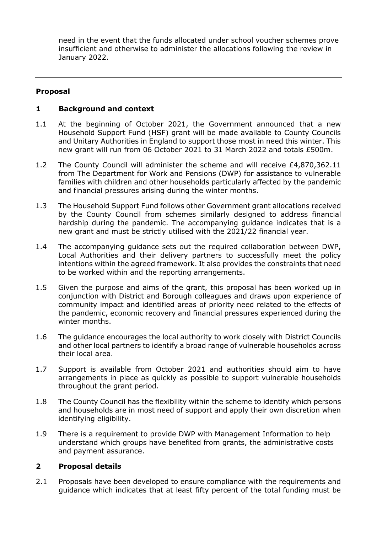need in the event that the funds allocated under school voucher schemes prove insufficient and otherwise to administer the allocations following the review in January 2022.

## **Proposal**

#### **1 Background and context**

- 1.1 At the beginning of October 2021, the Government announced that a new Household Support Fund (HSF) grant will be made available to County Councils and Unitary Authorities in England to support those most in need this winter. This new grant will run from 06 October 2021 to 31 March 2022 and totals £500m.
- 1.2 The County Council will administer the scheme and will receive £4,870,362.11 from The Department for Work and Pensions (DWP) for assistance to vulnerable families with children and other households particularly affected by the pandemic and financial pressures arising during the winter months.
- 1.3 The Household Support Fund follows other Government grant allocations received by the County Council from schemes similarly designed to address financial hardship during the pandemic. The accompanying guidance indicates that is a new grant and must be strictly utilised with the 2021/22 financial year.
- 1.4 The accompanying guidance sets out the required collaboration between DWP, Local Authorities and their delivery partners to successfully meet the policy intentions within the agreed framework. It also provides the constraints that need to be worked within and the reporting arrangements.
- 1.5 Given the purpose and aims of the grant, this proposal has been worked up in conjunction with District and Borough colleagues and draws upon experience of community impact and identified areas of priority need related to the effects of the pandemic, economic recovery and financial pressures experienced during the winter months.
- 1.6 The guidance encourages the local authority to work closely with District Councils and other local partners to identify a broad range of vulnerable households across their local area.
- 1.7 Support is available from October 2021 and authorities should aim to have arrangements in place as quickly as possible to support vulnerable households throughout the grant period.
- 1.8 The County Council has the flexibility within the scheme to identify which persons and households are in most need of support and apply their own discretion when identifying eligibility.
- 1.9 There is a requirement to provide DWP with Management Information to help understand which groups have benefited from grants, the administrative costs and payment assurance.

## **2 Proposal details**

2.1 Proposals have been developed to ensure compliance with the requirements and guidance which indicates that at least fifty percent of the total funding must be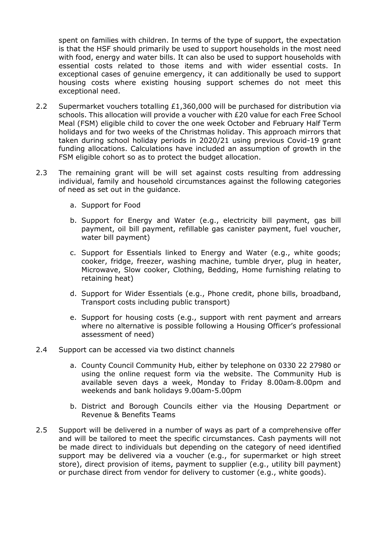spent on families with children. In terms of the type of support, the expectation is that the HSF should primarily be used to support households in the most need with food, energy and water bills. It can also be used to support households with essential costs related to those items and with wider essential costs. In exceptional cases of genuine emergency, it can additionally be used to support housing costs where existing housing support schemes do not meet this exceptional need.

- 2.2 Supermarket vouchers totalling £1,360,000 will be purchased for distribution via schools. This allocation will provide a voucher with £20 value for each Free School Meal (FSM) eligible child to cover the one week October and February Half Term holidays and for two weeks of the Christmas holiday. This approach mirrors that taken during school holiday periods in 2020/21 using previous Covid-19 grant funding allocations. Calculations have included an assumption of growth in the FSM eligible cohort so as to protect the budget allocation.
- 2.3 The remaining grant will be will set against costs resulting from addressing individual, family and household circumstances against the following categories of need as set out in the guidance.
	- a. Support for Food
	- b. Support for Energy and Water (e.g., electricity bill payment, gas bill payment, oil bill payment, refillable gas canister payment, fuel voucher, water bill payment)
	- c. Support for Essentials linked to Energy and Water (e.g., white goods; cooker, fridge, freezer, washing machine, tumble dryer, plug in heater, Microwave, Slow cooker, Clothing, Bedding, Home furnishing relating to retaining heat)
	- d. Support for Wider Essentials (e.g., Phone credit, phone bills, broadband, Transport costs including public transport)
	- e. Support for housing costs (e.g., support with rent payment and arrears where no alternative is possible following a Housing Officer's professional assessment of need)
- 2.4 Support can be accessed via two distinct channels
	- a. County Council Community Hub, either by telephone on 0330 22 27980 or using the online request form via the website. The Community Hub is available seven days a week, Monday to Friday 8.00am‐8.00pm and weekends and bank holidays 9.00am-5.00pm
	- b. District and Borough Councils either via the Housing Department or Revenue & Benefits Teams
- 2.5 Support will be delivered in a number of ways as part of a comprehensive offer and will be tailored to meet the specific circumstances. Cash payments will not be made direct to individuals but depending on the category of need identified support may be delivered via a voucher (e.g., for supermarket or high street store), direct provision of items, payment to supplier (e.g., utility bill payment) or purchase direct from vendor for delivery to customer (e.g., white goods).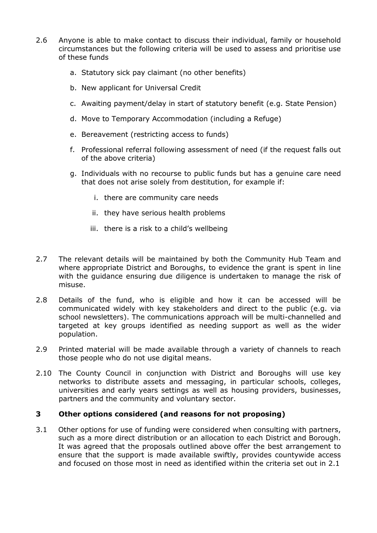- 2.6 Anyone is able to make contact to discuss their individual, family or household circumstances but the following criteria will be used to assess and prioritise use of these funds
	- a. Statutory sick pay claimant (no other benefits)
	- b. New applicant for Universal Credit
	- c. Awaiting payment/delay in start of statutory benefit (e.g. State Pension)
	- d. Move to Temporary Accommodation (including a Refuge)
	- e. Bereavement (restricting access to funds)
	- f. Professional referral following assessment of need (if the request falls out of the above criteria)
	- g. Individuals with no recourse to public funds but has a genuine care need that does not arise solely from destitution, for example if:
		- i. there are community care needs
		- ii. they have serious health problems
		- iii. there is a risk to a child's wellbeing
- 2.7 The relevant details will be maintained by both the Community Hub Team and where appropriate District and Boroughs, to evidence the grant is spent in line with the guidance ensuring due diligence is undertaken to manage the risk of misuse.
- 2.8 Details of the fund, who is eligible and how it can be accessed will be communicated widely with key stakeholders and direct to the public (e.g. via school newsletters). The communications approach will be multi-channelled and targeted at key groups identified as needing support as well as the wider population.
- 2.9 Printed material will be made available through a variety of channels to reach those people who do not use digital means.
- 2.10 The County Council in conjunction with District and Boroughs will use key networks to distribute assets and messaging, in particular schools, colleges, universities and early years settings as well as housing providers, businesses, partners and the community and voluntary sector.

## **3 Other options considered (and reasons for not proposing)**

3.1 Other options for use of funding were considered when consulting with partners, such as a more direct distribution or an allocation to each District and Borough. It was agreed that the proposals outlined above offer the best arrangement to ensure that the support is made available swiftly, provides countywide access and focused on those most in need as identified within the criteria set out in 2.1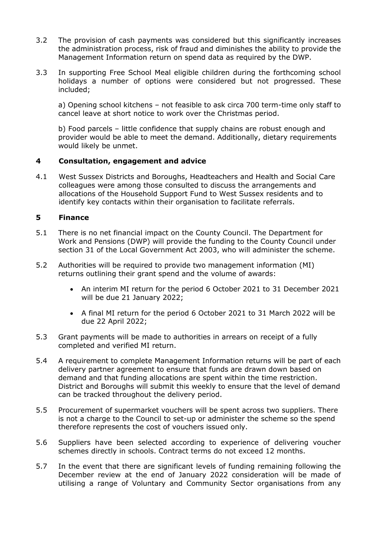- 3.2 The provision of cash payments was considered but this significantly increases the administration process, risk of fraud and diminishes the ability to provide the Management Information return on spend data as required by the DWP.
- 3.3 In supporting Free School Meal eligible children during the forthcoming school holidays a number of options were considered but not progressed. These included;

a) Opening school kitchens – not feasible to ask circa 700 term-time only staff to cancel leave at short notice to work over the Christmas period.

b) Food parcels – little confidence that supply chains are robust enough and provider would be able to meet the demand. Additionally, dietary requirements would likely be unmet.

#### **4 Consultation, engagement and advice**

4.1 West Sussex Districts and Boroughs, Headteachers and Health and Social Care colleagues were among those consulted to discuss the arrangements and allocations of the Household Support Fund to West Sussex residents and to identify key contacts within their organisation to facilitate referrals.

#### **5 Finance**

- 5.1 There is no net financial impact on the County Council. The Department for Work and Pensions (DWP) will provide the funding to the County Council under section 31 of the Local Government Act 2003, who will administer the scheme.
- 5.2 Authorities will be required to provide two management information (MI) returns outlining their grant spend and the volume of awards:
	- An interim MI return for the period 6 October 2021 to 31 December 2021 will be due 21 January 2022;
	- A final MI return for the period 6 October 2021 to 31 March 2022 will be due 22 April 2022;
- 5.3 Grant payments will be made to authorities in arrears on receipt of a fully completed and verified MI return.
- 5.4 A requirement to complete Management Information returns will be part of each delivery partner agreement to ensure that funds are drawn down based on demand and that funding allocations are spent within the time restriction. District and Boroughs will submit this weekly to ensure that the level of demand can be tracked throughout the delivery period.
- 5.5 Procurement of supermarket vouchers will be spent across two suppliers. There is not a charge to the Council to set-up or administer the scheme so the spend therefore represents the cost of vouchers issued only.
- 5.6 Suppliers have been selected according to experience of delivering voucher schemes directly in schools. Contract terms do not exceed 12 months.
- 5.7 In the event that there are significant levels of funding remaining following the December review at the end of January 2022 consideration will be made of utilising a range of Voluntary and Community Sector organisations from any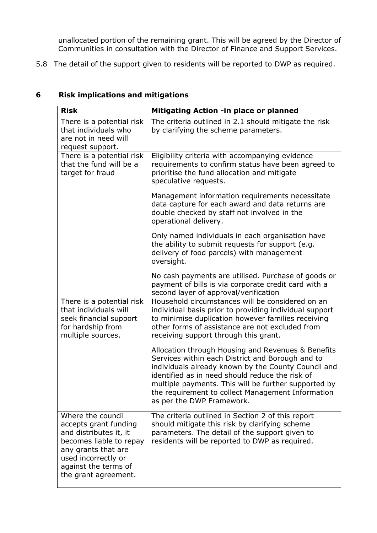unallocated portion of the remaining grant. This will be agreed by the Director of Communities in consultation with the Director of Finance and Support Services.

5.8 The detail of the support given to residents will be reported to DWP as required.

| <b>Risk</b>                                                                                                                                                                                   | Mitigating Action -in place or planned                                                                                                                                                                                                                                                                                                                     |
|-----------------------------------------------------------------------------------------------------------------------------------------------------------------------------------------------|------------------------------------------------------------------------------------------------------------------------------------------------------------------------------------------------------------------------------------------------------------------------------------------------------------------------------------------------------------|
| There is a potential risk<br>that individuals who<br>are not in need will<br>request support.                                                                                                 | The criteria outlined in 2.1 should mitigate the risk<br>by clarifying the scheme parameters.                                                                                                                                                                                                                                                              |
| There is a potential risk<br>that the fund will be a<br>target for fraud                                                                                                                      | Eligibility criteria with accompanying evidence<br>requirements to confirm status have been agreed to<br>prioritise the fund allocation and mitigate<br>speculative requests.                                                                                                                                                                              |
|                                                                                                                                                                                               | Management information requirements necessitate<br>data capture for each award and data returns are<br>double checked by staff not involved in the<br>operational delivery.                                                                                                                                                                                |
|                                                                                                                                                                                               | Only named individuals in each organisation have<br>the ability to submit requests for support (e.g.<br>delivery of food parcels) with management<br>oversight.                                                                                                                                                                                            |
|                                                                                                                                                                                               | No cash payments are utilised. Purchase of goods or<br>payment of bills is via corporate credit card with a<br>second layer of approval/verification                                                                                                                                                                                                       |
| There is a potential risk<br>that individuals will<br>seek financial support<br>for hardship from<br>multiple sources.                                                                        | Household circumstances will be considered on an<br>individual basis prior to providing individual support<br>to minimise duplication however families receiving<br>other forms of assistance are not excluded from<br>receiving support through this grant.                                                                                               |
|                                                                                                                                                                                               | Allocation through Housing and Revenues & Benefits<br>Services within each District and Borough and to<br>individuals already known by the County Council and<br>identified as in need should reduce the risk of<br>multiple payments. This will be further supported by<br>the requirement to collect Management Information<br>as per the DWP Framework. |
| Where the council<br>accepts grant funding<br>and distributes it, it<br>becomes liable to repay<br>any grants that are<br>used incorrectly or<br>against the terms of<br>the grant agreement. | The criteria outlined in Section 2 of this report<br>should mitigate this risk by clarifying scheme<br>parameters. The detail of the support given to<br>residents will be reported to DWP as required.                                                                                                                                                    |

# **6 Risk implications and mitigations**